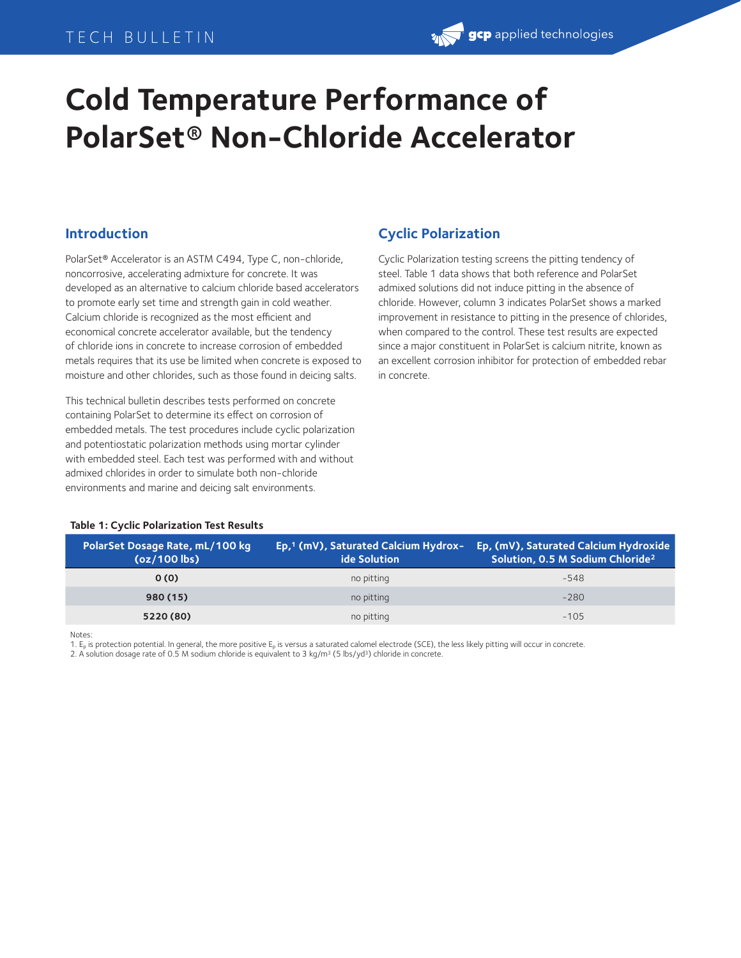# TECH BULLETIN

# **gcp** applied technologies

# **Cold Temperature Performance of PolarSet® Non-Chloride Accelerator**

## **Introduction**

PolarSet® Accelerator is an ASTM C494, Type C, non-chloride, noncorrosive, accelerating admixture for concrete. It was developed as an alternative to calcium chloride based accelerators to promote early set time and strength gain in cold weather. Calcium chloride is recognized as the most efficient and economical concrete accelerator available, but the tendency of chloride ions in concrete to increase corrosion of embedded metals requires that its use be limited when concrete is exposed to moisture and other chlorides, such as those found in deicing salts.

This technical bulletin describes tests performed on concrete containing PolarSet to determine its effect on corrosion of embedded metals. The test procedures include cyclic polarization and potentiostatic polarization methods using mortar cylinder with embedded steel. Each test was performed with and without admixed chlorides in order to simulate both non-chloride environments and marine and deicing salt environments.

## **Cyclic Polarization**

Cyclic Polarization testing screens the pitting tendency of steel. Table 1 data shows that both reference and PolarSet admixed solutions did not induce pitting in the absence of chloride. However, column 3 indicates PolarSet shows a marked improvement in resistance to pitting in the presence of chlorides, when compared to the control. These test results are expected since a major constituent in PolarSet is calcium nitrite, known as an excellent corrosion inhibitor for protection of embedded rebar in concrete.

#### **Table 1: Cyclic Polarization Test Results**

| PolarSet Dosage Rate, mL/100 kg<br>$(oz/100$ lbs) | Ep,1 (mV), Saturated Calcium Hydrox- 1<br><b>ide Solution</b> | Ep, (mV), Saturated Calcium Hydroxide<br>Solution, 0.5 M Sodium Chloride <sup>2</sup> |
|---------------------------------------------------|---------------------------------------------------------------|---------------------------------------------------------------------------------------|
| 0(0)                                              | no pitting                                                    | $-548$                                                                                |
| 980(15)                                           | no pitting                                                    | $-280$                                                                                |
| 5220 (80)                                         | no pitting                                                    | $-105$                                                                                |

**Notes** 

1.  $E_p$  is protection potential. In general, the more positive  $E_p$  is versus a saturated calomel electrode (SCE), the less likely pitting will occur in concrete.

2. A solution dosage rate of 0.5 M sodium chloride is equivalent to 3 kg/m<sup>3</sup> (5 lbs/yd<sup>3</sup>) chloride in concrete.